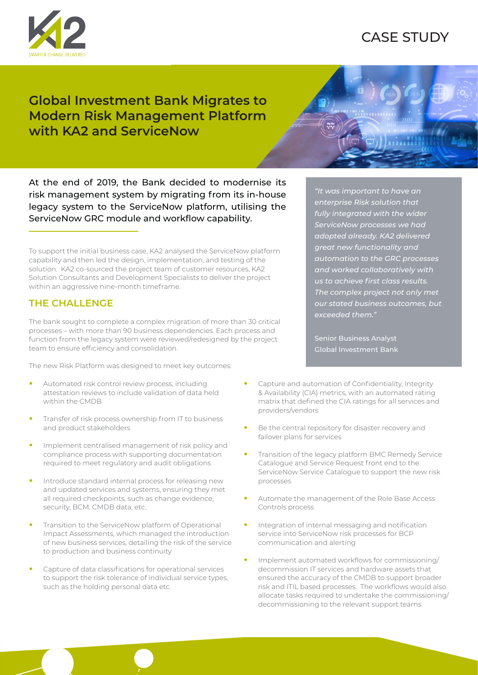

# CASE STUDY

## **Global Investment Bank Migrates to Modern Risk Management Platform with KA2 and ServiceNow**



At the end of 2019, the Bank decided to modernise its risk management system by migrating from its in-house legacy system to the ServiceNow platform, utilising the ServiceNow GRC module and workflow capability.

To support the initial business case, KA2 analysed the ServiceNow platform capability and then led the design, implementation, and testing of the solution. KA2 co-sourced the project team of customer resources, KA2 Solution Consultants and Development Specialists to deliver the project within an aggressive nine-month timeframe.

#### **THE CHALLENGE**

The bank sought to complete a complex migration of more than 30 critical processes – with more than 90 business dependencies. Each process and function from the legacy system were reviewed/redesigned by the project team to ensure efficiency and consolidation.

The new Risk Platform was designed to meet key outcomes:

- **•** Automated risk control review process, including attestation reviews to include validation of data held within the CMDB
- **•** Transfer of risk process ownership from IT to business and product stakeholders
- **•** Implement centralised management of risk policy and compliance process with supporting documentation required to meet regulatory and audit obligations
- **•** Introduce standard internal process for releasing new and updated services and systems, ensuring they met all required checkpoints, such as change evidence, security, BCM, CMDB data, etc.
- **•** Transition to the ServiceNow platform of Operational Impact Assessments, which managed the introduction of new business services, detailing the risk of the service to production and business continuity
- **•** Capture of data classifications for operational services to support the risk tolerance of individual service types, such as the holding personal data etc.

*"It was important to have an enterprise Risk solution that fully integrated with the wider ServiceNow processes we had adopted already. KA2 delivered great new functionality and automation to the GRC processes and worked collaboratively with us to achieve first class results. The complex project not only met our stated business outcomes, but exceeded them."*

Senior Business Analyst Global Investment Bank

- **•** Capture and automation of Confidentiality, Integrity & Availability (CIA) metrics, with an automated rating matrix that defined the CIA ratings for all services and providers/vendors
- **•** Be the central repository for disaster recovery and failover plans for services
- **•** Transition of the legacy platform BMC Remedy Service Catalogue and Service Request front end to the ServiceNow Service Catalogue to support the new risk processes
- **•** Automate the management of the Role Base Access Controls process
- **•** Integration of internal messaging and notification service into ServiceNow risk processes for BCP communication and alerting
- **•** Implement automated workflows for commissioning/ decommission IT services and hardware assets that ensured the accuracy of the CMDB to support broader risk and ITIL based processes. The workflows would also allocate tasks required to undertake the commissioning/ decommissioning to the relevant support teams.